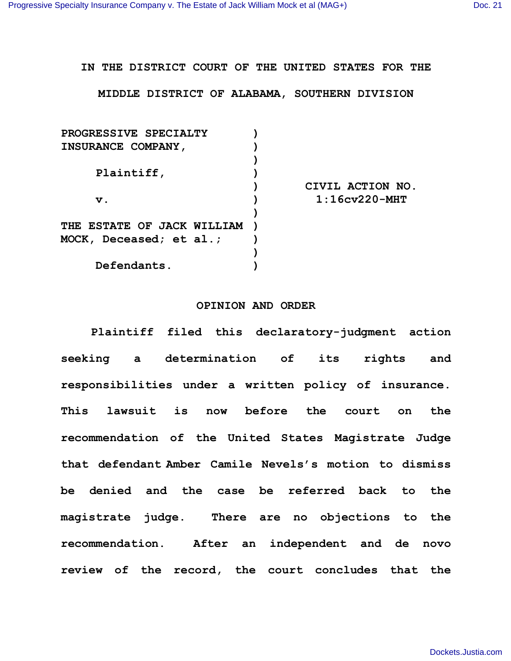## **IN THE DISTRICT COURT OF THE UNITED STATES FOR THE**

**MIDDLE DISTRICT OF ALABAMA, SOUTHERN DIVISION**

| PROGRESSIVE SPECIALTY             |                  |
|-----------------------------------|------------------|
| <b>INSURANCE COMPANY,</b>         |                  |
|                                   |                  |
| Plaintiff,                        |                  |
|                                   | CIVIL ACTION NO. |
| v.                                | $1:16cv220-MHT$  |
|                                   |                  |
| <b>THE ESTATE OF JACK WILLIAM</b> |                  |
| MOCK, Deceased; et al.;           |                  |
|                                   |                  |
| Defendants.                       |                  |
|                                   |                  |

## **OPINION AND ORDER**

**Plaintiff filed this declaratory-judgment action seeking a determination of its rights and responsibilities under a written policy of insurance. This lawsuit is now before the court on the recommendation of the United States Magistrate Judge that defendant Amber Camile Nevels's motion to dismiss be denied and the case be referred back to the magistrate judge. There are no objections to the recommendation. After an independent and de novo review of the record, the court concludes that the**